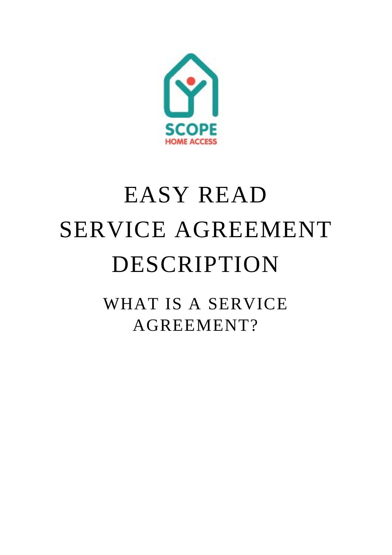

## EASY READ SERVICE AGREEMENT DESCRIPTION

WHAT IS A SERVICE AGREEMENT?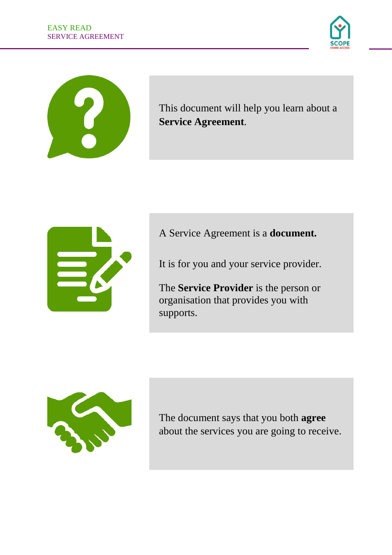

This document will help you learn about a **Service Agreement**.



A Service Agreement is a **document.**

It is for you and your service provider.

The **Service Provider** is the person or organisation that provides you with supports.



The document says that you both **agree** about the services you are going to receive.

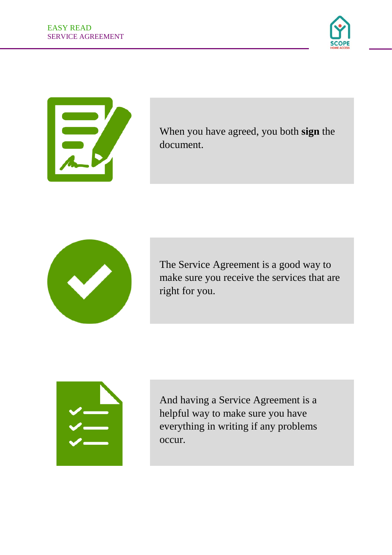



When you have agreed, you both **sign** the document.



The Service Agreement is a good way to make sure you receive the services that are right for you.



And having a Service Agreement is a helpful way to make sure you have everything in writing if any problems occur.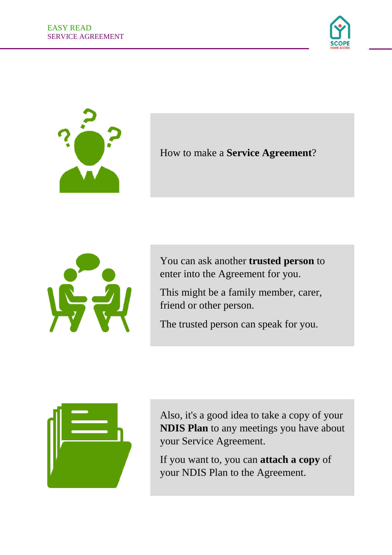



How to make a **Service Agreement**?



You can ask another **trusted person** to enter into the Agreement for you.

This might be a family member, carer, friend or other person.

The trusted person can speak for you.



Also, it's a good idea to take a copy of your **NDIS Plan** to any meetings you have about your Service Agreement.

If you want to, you can **attach a copy** of your NDIS Plan to the Agreement.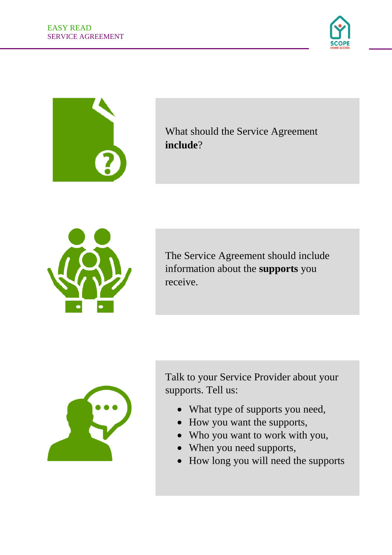



What should the Service Agreement **include**?



The Service Agreement should include information about the **supports** you receive.



Talk to your Service Provider about your supports. Tell us:

- What type of supports you need,
- How you want the supports,
- Who you want to work with you,
- When you need supports,
- How long you will need the supports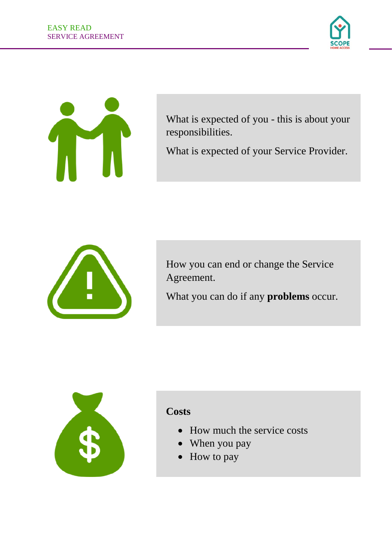



What is expected of you - this is about your responsibilities.

What is expected of your Service Provider.



How you can end or change the Service Agreement.

What you can do if any **problems** occur.



## **Costs**

- How much the service costs
- When you pay
- How to pay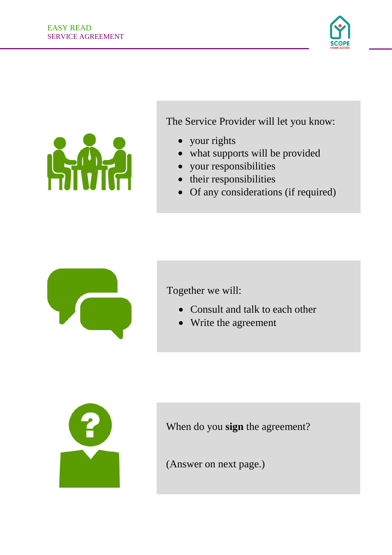



The Service Provider will let you know:

- your rights
- what supports will be provided
- your responsibilities
- their responsibilities
- Of any considerations (if required)



Together we will:

- Consult and talk to each other
- Write the agreement



When do you **sign** the agreement?

(Answer on next page.)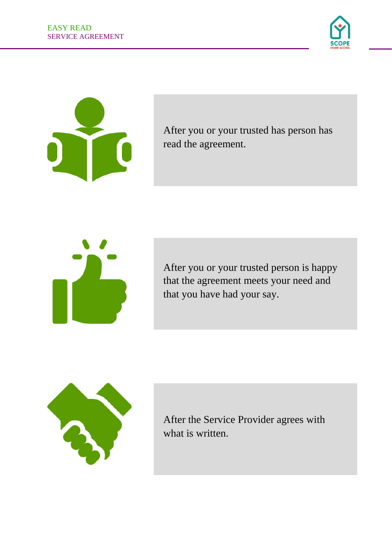



After you or your trusted has person has read the agreement.



After you or your trusted person is happy that the agreement meets your need and that you have had your say.

![](_page_7_Picture_6.jpeg)

After the Service Provider agrees with what is written.